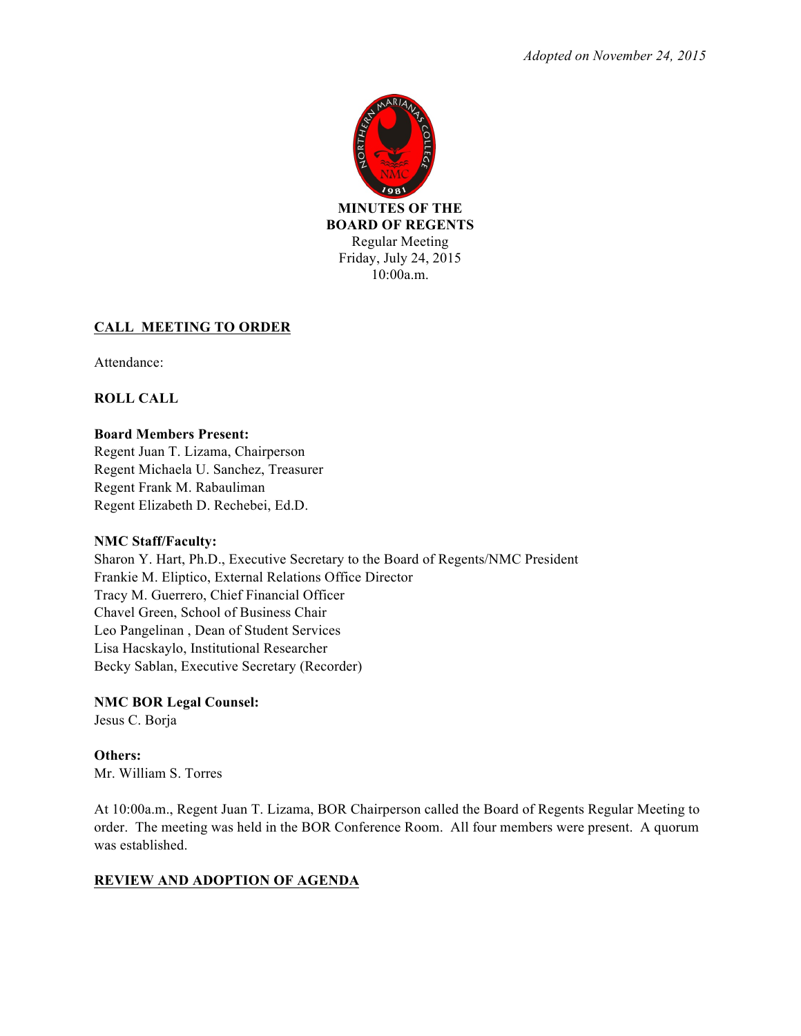

## **CALL MEETING TO ORDER**

Attendance:

**ROLL CALL**

## **Board Members Present:**

Regent Juan T. Lizama, Chairperson Regent Michaela U. Sanchez, Treasurer Regent Frank M. Rabauliman Regent Elizabeth D. Rechebei, Ed.D.

## **NMC Staff/Faculty:**

Sharon Y. Hart, Ph.D., Executive Secretary to the Board of Regents/NMC President Frankie M. Eliptico, External Relations Office Director Tracy M. Guerrero, Chief Financial Officer Chavel Green, School of Business Chair Leo Pangelinan , Dean of Student Services Lisa Hacskaylo, Institutional Researcher Becky Sablan, Executive Secretary (Recorder)

# **NMC BOR Legal Counsel:**

Jesus C. Borja

**Others:** Mr. William S. Torres

At 10:00a.m., Regent Juan T. Lizama, BOR Chairperson called the Board of Regents Regular Meeting to order. The meeting was held in the BOR Conference Room. All four members were present. A quorum was established.

## **REVIEW AND ADOPTION OF AGENDA**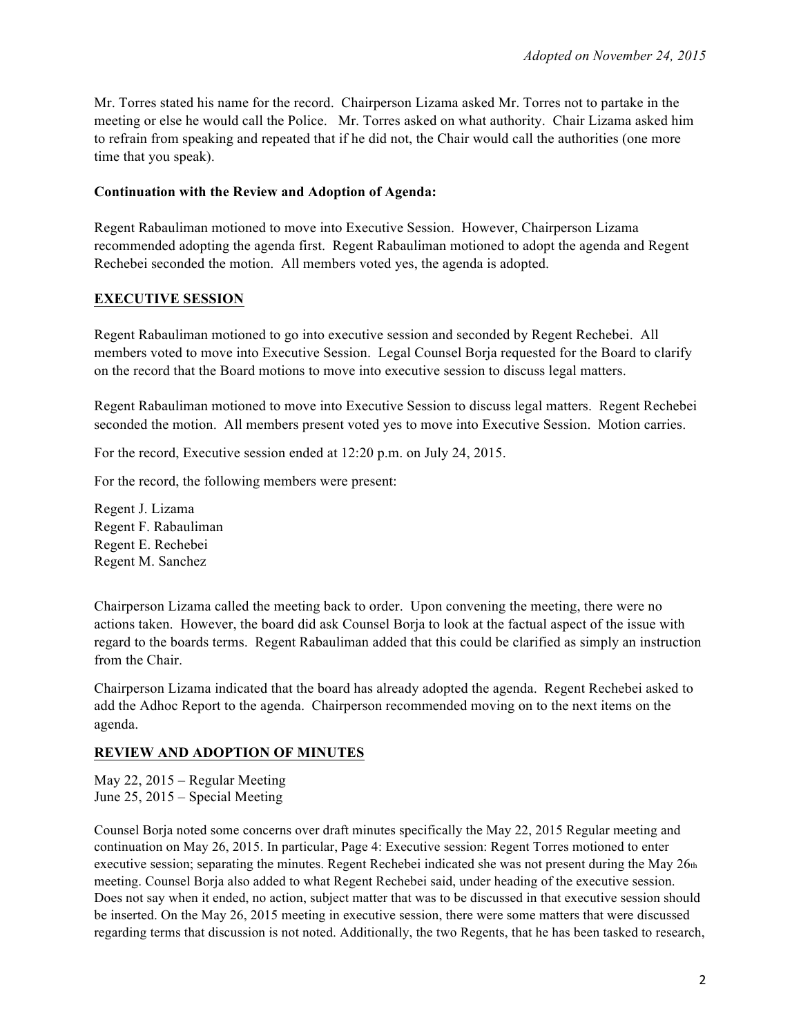Mr. Torres stated his name for the record. Chairperson Lizama asked Mr. Torres not to partake in the meeting or else he would call the Police. Mr. Torres asked on what authority. Chair Lizama asked him to refrain from speaking and repeated that if he did not, the Chair would call the authorities (one more time that you speak).

## **Continuation with the Review and Adoption of Agenda:**

Regent Rabauliman motioned to move into Executive Session. However, Chairperson Lizama recommended adopting the agenda first. Regent Rabauliman motioned to adopt the agenda and Regent Rechebei seconded the motion. All members voted yes, the agenda is adopted.

## **EXECUTIVE SESSION**

Regent Rabauliman motioned to go into executive session and seconded by Regent Rechebei. All members voted to move into Executive Session. Legal Counsel Borja requested for the Board to clarify on the record that the Board motions to move into executive session to discuss legal matters.

Regent Rabauliman motioned to move into Executive Session to discuss legal matters. Regent Rechebei seconded the motion. All members present voted yes to move into Executive Session. Motion carries.

For the record, Executive session ended at 12:20 p.m. on July 24, 2015.

For the record, the following members were present:

Regent J. Lizama Regent F. Rabauliman Regent E. Rechebei Regent M. Sanchez

Chairperson Lizama called the meeting back to order. Upon convening the meeting, there were no actions taken. However, the board did ask Counsel Borja to look at the factual aspect of the issue with regard to the boards terms. Regent Rabauliman added that this could be clarified as simply an instruction from the Chair.

Chairperson Lizama indicated that the board has already adopted the agenda. Regent Rechebei asked to add the Adhoc Report to the agenda. Chairperson recommended moving on to the next items on the agenda.

## **REVIEW AND ADOPTION OF MINUTES**

May 22, 2015 – Regular Meeting June 25, 2015 – Special Meeting

Counsel Borja noted some concerns over draft minutes specifically the May 22, 2015 Regular meeting and continuation on May 26, 2015. In particular, Page 4: Executive session: Regent Torres motioned to enter executive session; separating the minutes. Regent Rechebei indicated she was not present during the May 26th meeting. Counsel Borja also added to what Regent Rechebei said, under heading of the executive session. Does not say when it ended, no action, subject matter that was to be discussed in that executive session should be inserted. On the May 26, 2015 meeting in executive session, there were some matters that were discussed regarding terms that discussion is not noted. Additionally, the two Regents, that he has been tasked to research,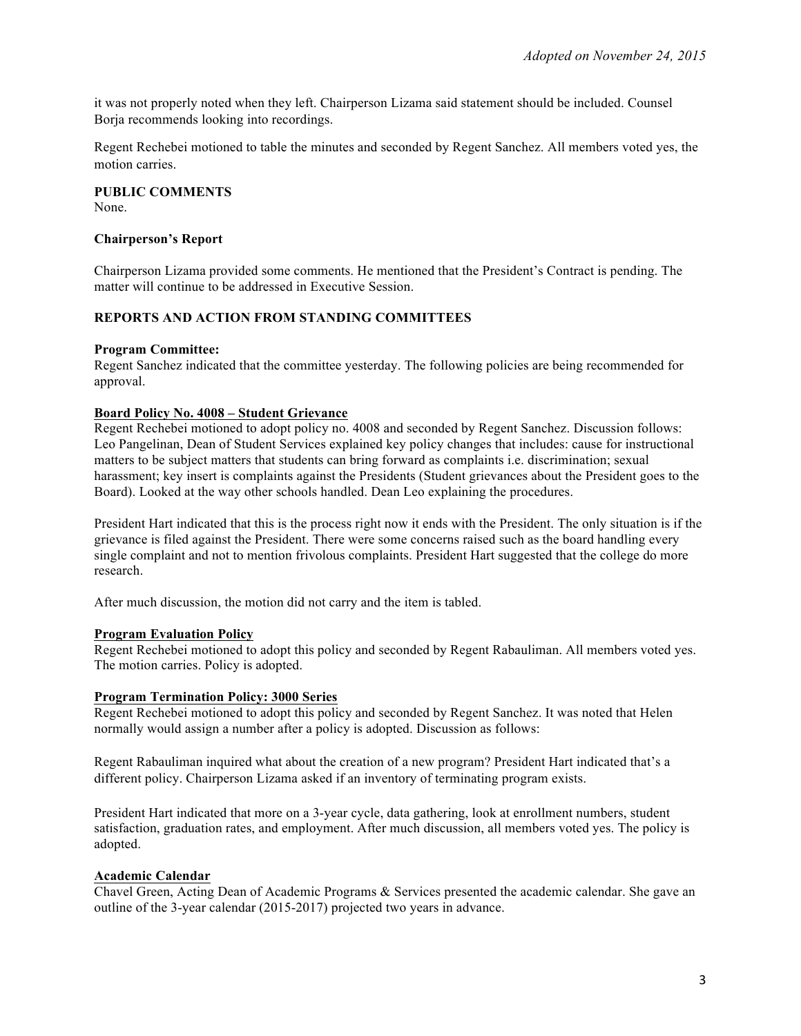it was not properly noted when they left. Chairperson Lizama said statement should be included. Counsel Borja recommends looking into recordings.

Regent Rechebei motioned to table the minutes and seconded by Regent Sanchez. All members voted yes, the motion carries.

**PUBLIC COMMENTS** None.

#### **Chairperson's Report**

Chairperson Lizama provided some comments. He mentioned that the President's Contract is pending. The matter will continue to be addressed in Executive Session.

## **REPORTS AND ACTION FROM STANDING COMMITTEES**

#### **Program Committee:**

Regent Sanchez indicated that the committee yesterday. The following policies are being recommended for approval.

#### **Board Policy No. 4008 – Student Grievance**

Regent Rechebei motioned to adopt policy no. 4008 and seconded by Regent Sanchez. Discussion follows: Leo Pangelinan, Dean of Student Services explained key policy changes that includes: cause for instructional matters to be subject matters that students can bring forward as complaints i.e. discrimination; sexual harassment; key insert is complaints against the Presidents (Student grievances about the President goes to the Board). Looked at the way other schools handled. Dean Leo explaining the procedures.

President Hart indicated that this is the process right now it ends with the President. The only situation is if the grievance is filed against the President. There were some concerns raised such as the board handling every single complaint and not to mention frivolous complaints. President Hart suggested that the college do more research.

After much discussion, the motion did not carry and the item is tabled.

#### **Program Evaluation Policy**

Regent Rechebei motioned to adopt this policy and seconded by Regent Rabauliman. All members voted yes. The motion carries. Policy is adopted.

#### **Program Termination Policy: 3000 Series**

Regent Rechebei motioned to adopt this policy and seconded by Regent Sanchez. It was noted that Helen normally would assign a number after a policy is adopted. Discussion as follows:

Regent Rabauliman inquired what about the creation of a new program? President Hart indicated that's a different policy. Chairperson Lizama asked if an inventory of terminating program exists.

President Hart indicated that more on a 3-year cycle, data gathering, look at enrollment numbers, student satisfaction, graduation rates, and employment. After much discussion, all members voted yes. The policy is adopted.

#### **Academic Calendar**

Chavel Green, Acting Dean of Academic Programs & Services presented the academic calendar. She gave an outline of the 3-year calendar (2015-2017) projected two years in advance.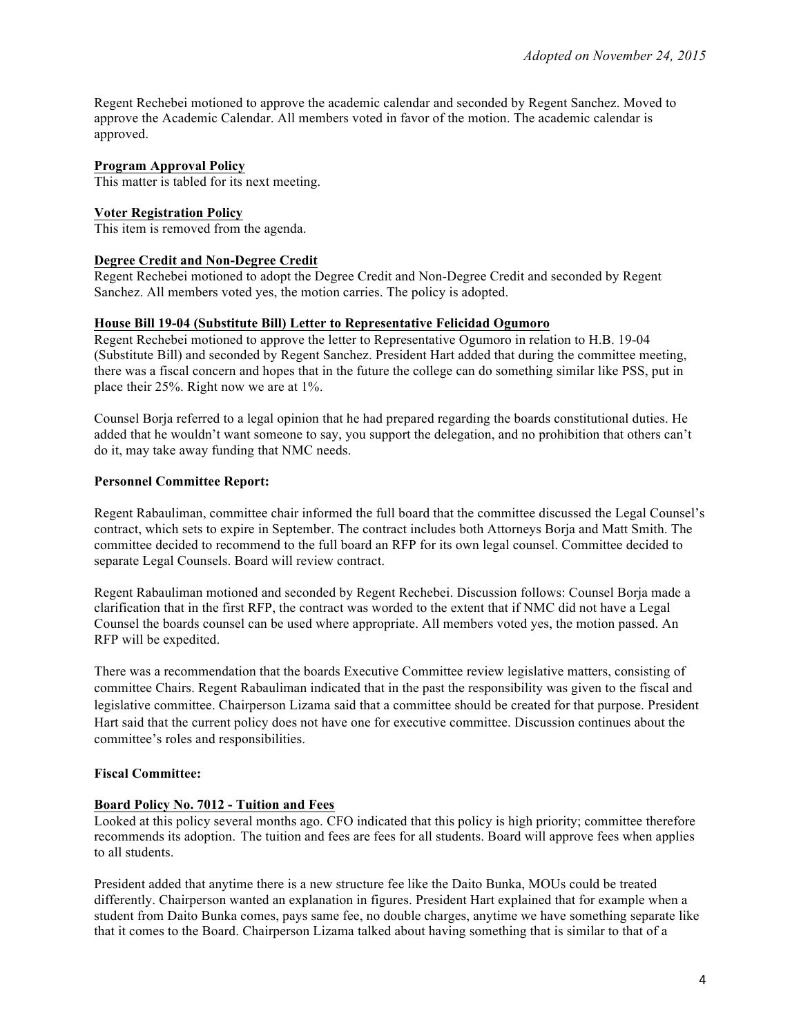Regent Rechebei motioned to approve the academic calendar and seconded by Regent Sanchez. Moved to approve the Academic Calendar. All members voted in favor of the motion. The academic calendar is approved.

### **Program Approval Policy**

This matter is tabled for its next meeting.

#### **Voter Registration Policy**

This item is removed from the agenda.

#### **Degree Credit and Non-Degree Credit**

Regent Rechebei motioned to adopt the Degree Credit and Non-Degree Credit and seconded by Regent Sanchez. All members voted yes, the motion carries. The policy is adopted.

### **House Bill 19-04 (Substitute Bill) Letter to Representative Felicidad Ogumoro**

Regent Rechebei motioned to approve the letter to Representative Ogumoro in relation to H.B. 19-04 (Substitute Bill) and seconded by Regent Sanchez. President Hart added that during the committee meeting, there was a fiscal concern and hopes that in the future the college can do something similar like PSS, put in place their 25%. Right now we are at 1%.

Counsel Borja referred to a legal opinion that he had prepared regarding the boards constitutional duties. He added that he wouldn't want someone to say, you support the delegation, and no prohibition that others can't do it, may take away funding that NMC needs.

### **Personnel Committee Report:**

Regent Rabauliman, committee chair informed the full board that the committee discussed the Legal Counsel's contract, which sets to expire in September. The contract includes both Attorneys Borja and Matt Smith. The committee decided to recommend to the full board an RFP for its own legal counsel. Committee decided to separate Legal Counsels. Board will review contract.

Regent Rabauliman motioned and seconded by Regent Rechebei. Discussion follows: Counsel Borja made a clarification that in the first RFP, the contract was worded to the extent that if NMC did not have a Legal Counsel the boards counsel can be used where appropriate. All members voted yes, the motion passed. An RFP will be expedited.

There was a recommendation that the boards Executive Committee review legislative matters, consisting of committee Chairs. Regent Rabauliman indicated that in the past the responsibility was given to the fiscal and legislative committee. Chairperson Lizama said that a committee should be created for that purpose. President Hart said that the current policy does not have one for executive committee. Discussion continues about the committee's roles and responsibilities.

## **Fiscal Committee:**

#### **Board Policy No. 7012 - Tuition and Fees**

Looked at this policy several months ago. CFO indicated that this policy is high priority; committee therefore recommends its adoption. The tuition and fees are fees for all students. Board will approve fees when applies to all students.

President added that anytime there is a new structure fee like the Daito Bunka, MOUs could be treated differently. Chairperson wanted an explanation in figures. President Hart explained that for example when a student from Daito Bunka comes, pays same fee, no double charges, anytime we have something separate like that it comes to the Board. Chairperson Lizama talked about having something that is similar to that of a